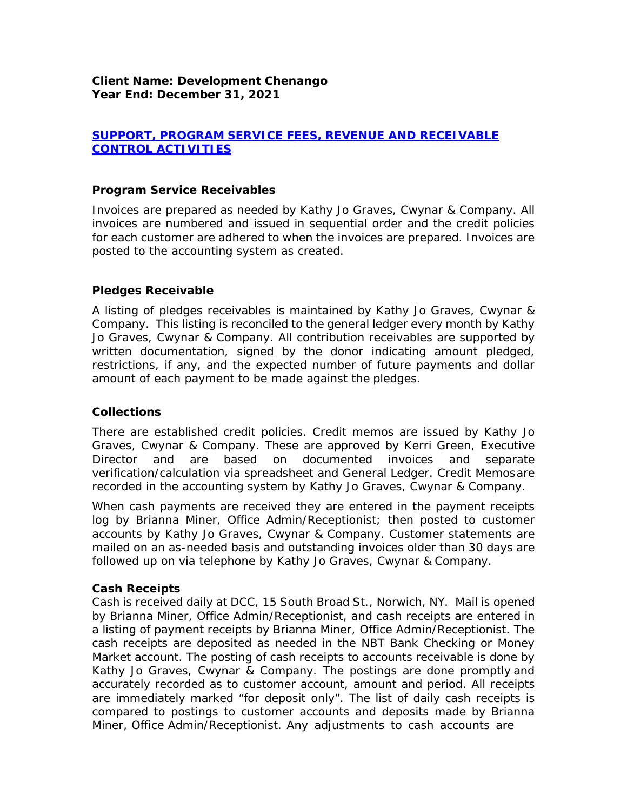# *SUPPORT, PROGRAM SERVICE FEES, REVENUE AND RECEIVABLE CONTROL ACTIVITIES*

### *Program Service Receivables*

Invoices are prepared as needed by Kathy Jo Graves, Cwynar & Company. All invoices are numbered and issued in sequential order and the credit policies for each customer are adhered to when the invoices are prepared. Invoices are posted to the accounting system as created.

### *Pledges Receivable*

A listing of pledges receivables is maintained by Kathy Jo Graves, Cwynar & Company. This listing is reconciled to the general ledger every month by Kathy Jo Graves, Cwynar & Company. All contribution receivables are supported by written documentation, signed by the donor indicating amount pledged, restrictions, if any, and the expected number of future payments and dollar amount of each payment to be made against the pledges.

### *Collections*

There are established credit policies. Credit memos are issued by Kathy Jo Graves, Cwynar & Company. These are approved by Kerri Green, Executive Director and are based on documented invoices and separate verification/calculation via spreadsheet and General Ledger. Credit Memosare recorded in the accounting system by Kathy Jo Graves, Cwynar & Company.

When cash payments are received they are entered in the payment receipts log by Brianna Miner, Office Admin/Receptionist; then posted to customer accounts by Kathy Jo Graves, Cwynar & Company. Customer statements are mailed on an as-needed basis and outstanding invoices older than 30 days are followed up on via telephone by Kathy Jo Graves, Cwynar & Company.

### *Cash Receipts*

Cash is received daily at DCC, 15 South Broad St., Norwich, NY. Mail is opened by Brianna Miner, Office Admin/Receptionist, and cash receipts are entered in a listing of payment receipts by Brianna Miner, Office Admin/Receptionist. The cash receipts are deposited as needed in the NBT Bank Checking or Money Market account. The posting of cash receipts to accounts receivable is done by Kathy Jo Graves, Cwynar & Company. The postings are done promptly and accurately recorded as to customer account, amount and period. All receipts are immediately marked "for deposit only". The list of daily cash receipts is compared to postings to customer accounts and deposits made by Brianna Miner, Office Admin/Receptionist. Any adjustments to cash accounts are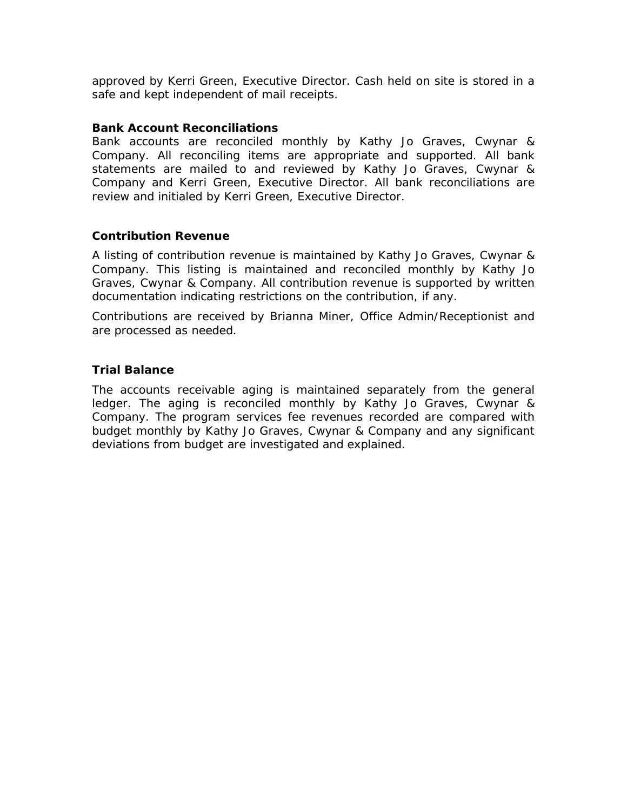approved by Kerri Green, Executive Director. Cash held on site is stored in a safe and kept independent of mail receipts.

#### *Bank Account Reconciliations*

Bank accounts are reconciled monthly by Kathy Jo Graves, Cwynar & Company. All reconciling items are appropriate and supported. All bank statements are mailed to and reviewed by Kathy Jo Graves, Cwynar & Company and Kerri Green, Executive Director. All bank reconciliations are review and initialed by Kerri Green, Executive Director.

#### *Contribution Revenue*

A listing of contribution revenue is maintained by Kathy Jo Graves, Cwynar & Company. This listing is maintained and reconciled monthly by Kathy Jo Graves, Cwynar & Company. All contribution revenue is supported by written documentation indicating restrictions on the contribution, if any.

Contributions are received by Brianna Miner, Office Admin/Receptionist and are processed as needed.

### *Trial Balance*

The accounts receivable aging is maintained separately from the general ledger. The aging is reconciled monthly by Kathy Jo Graves, Cwynar & Company. The program services fee revenues recorded are compared with budget monthly by Kathy Jo Graves, Cwynar & Company and any significant deviations from budget are investigated and explained.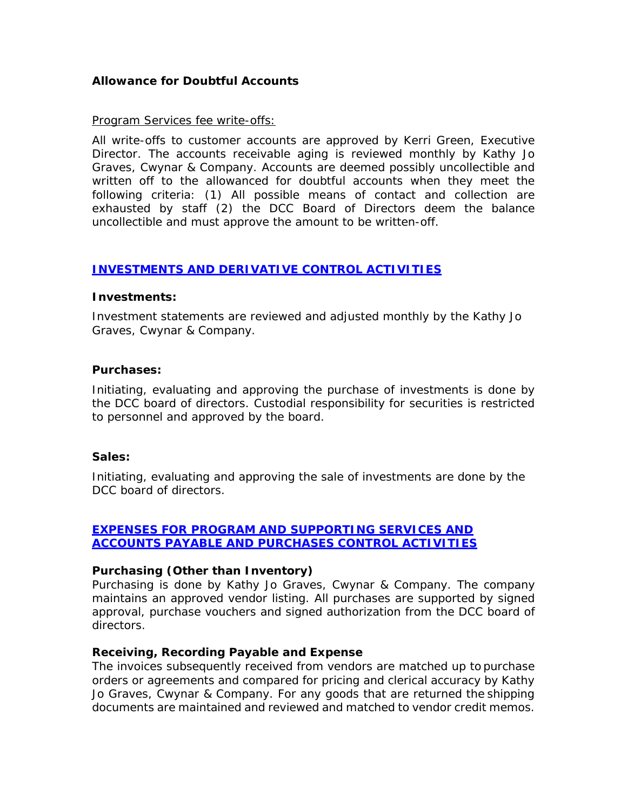# *Allowance for Doubtful Accounts*

#### *Program Services fee write-offs:*

All write-offs to customer accounts are approved by Kerri Green, Executive Director. The accounts receivable aging is reviewed monthly by Kathy Jo Graves, Cwynar & Company. Accounts are deemed possibly uncollectible and written off to the allowanced for doubtful accounts when they meet the following criteria: (1) All possible means of contact and collection are exhausted by staff (2) the DCC Board of Directors deem the balance uncollectible and must approve the amount to be written-off.

### *INVESTMENTS AND DERIVATIVE CONTROL ACTIVITIES*

#### *Investments:*

Investment statements are reviewed and adjusted monthly by the Kathy Jo Graves, Cwynar & Company.

#### *Purchases:*

Initiating, evaluating and approving the purchase of investments is done by the DCC board of directors. Custodial responsibility for securities is restricted to personnel and approved by the board.

#### *Sales:*

Initiating, evaluating and approving the sale of investments are done by the DCC board of directors.

## *EXPENSES FOR PROGRAM AND SUPPORTING SERVICES AND ACCOUNTS PAYABLE AND PURCHASES CONTROL ACTIVITIES*

### *Purchasing (Other than Inventory)*

Purchasing is done by Kathy Jo Graves, Cwynar & Company. The company maintains an approved vendor listing. All purchases are supported by signed approval, purchase vouchers and signed authorization from the DCC board of directors.

### *Receiving, Recording Payable and Expense*

The invoices subsequently received from vendors are matched up to purchase orders or agreements and compared for pricing and clerical accuracy by Kathy Jo Graves, Cwynar & Company. For any goods that are returned the shipping documents are maintained and reviewed and matched to vendor credit memos.